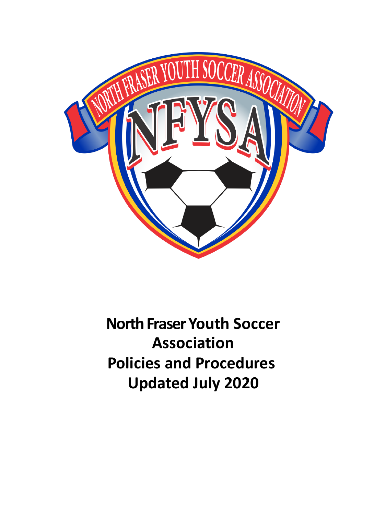

**North Fraser Youth Soccer Association Policies and Procedures Updated July 2020**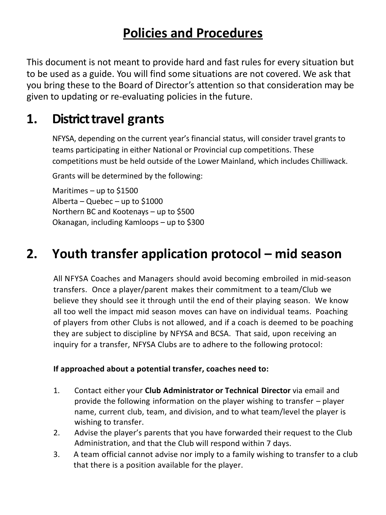# **Policies and Procedures**

This document is not meant to provide hard and fast rules for every situation but to be used as a guide. You will find some situations are not covered. We ask that you bring these to the Board of Director's attention so that consideration may be given to updating or re-evaluating policies in the future.

# **1. District travel grants**

NFYSA, depending on the current year's financial status, will consider travel grants to teams participating in either National or Provincial cup competitions. These competitions must be held outside of the Lower Mainland, which includes Chilliwack.

Grants will be determined by the following:

Maritimes – up to  $$1500$ Alberta – Quebec – up to \$1000 Northern BC and Kootenays – up to \$500 Okanagan, including Kamloops – up to \$300

# **2. Youth transfer application protocol – mid season**

All NFYSA Coaches and Managers should avoid becoming embroiled in mid-season transfers. Once a player/parent makes their commitment to a team/Club we believe they should see it through until the end of their playing season. We know all too well the impact mid season moves can have on individual teams. Poaching of players from other Clubs is not allowed, and if a coach is deemed to be poaching they are subject to discipline by NFYSA and BCSA. That said, upon receiving an inquiry for a transfer, NFYSA Clubs are to adhere to the following protocol:

#### **If approached about a potential transfer, coaches need to:**

- 1. Contact either your **Club Administrator or Technical Director** via email and provide the following information on the player wishing to transfer – player name, current club, team, and division, and to what team/level the player is wishing to transfer.
- 2. Advise the player's parents that you have forwarded their request to the Club Administration, and that the Club will respond within 7 days.
- 3. A team official cannot advise nor imply to a family wishing to transfer to a club that there is a position available for the player.